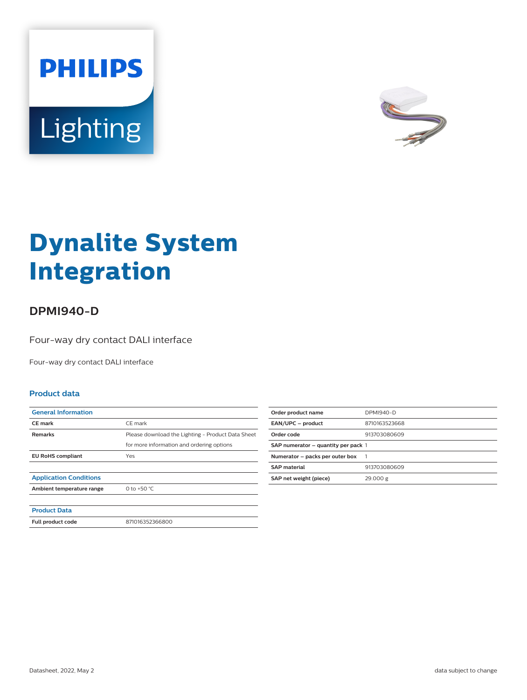



# **Dynalite System Integration**

## **DPMI940-D**

Four-way dry contact DALI interface

Four-way dry contact DALI interface

#### **Product data**

| <b>General Information</b><br><b>CE</b> mark<br>CE mark<br><b>Remarks</b><br>for more information and ordering options<br><b>EU RoHS compliant</b><br>Yes<br><b>Application Conditions</b><br>0 to +50 $^{\circ}$ C.<br>Ambient temperature range<br><b>Product Data</b><br>871016352366800<br>Full product code |                                                   |
|------------------------------------------------------------------------------------------------------------------------------------------------------------------------------------------------------------------------------------------------------------------------------------------------------------------|---------------------------------------------------|
|                                                                                                                                                                                                                                                                                                                  |                                                   |
|                                                                                                                                                                                                                                                                                                                  |                                                   |
|                                                                                                                                                                                                                                                                                                                  | Please download the Lighting - Product Data Sheet |
|                                                                                                                                                                                                                                                                                                                  |                                                   |
|                                                                                                                                                                                                                                                                                                                  |                                                   |
|                                                                                                                                                                                                                                                                                                                  |                                                   |
|                                                                                                                                                                                                                                                                                                                  |                                                   |
|                                                                                                                                                                                                                                                                                                                  |                                                   |
|                                                                                                                                                                                                                                                                                                                  |                                                   |
|                                                                                                                                                                                                                                                                                                                  |                                                   |
|                                                                                                                                                                                                                                                                                                                  |                                                   |

| Order product name                  | DPMI940-D     |
|-------------------------------------|---------------|
| EAN/UPC - product                   | 8710163523668 |
| Order code                          | 913703080609  |
| SAP numerator - quantity per pack 1 |               |
| Numerator - packs per outer box     |               |
| <b>SAP material</b>                 | 913703080609  |
| SAP net weight (piece)              | 29.000 g      |
|                                     |               |